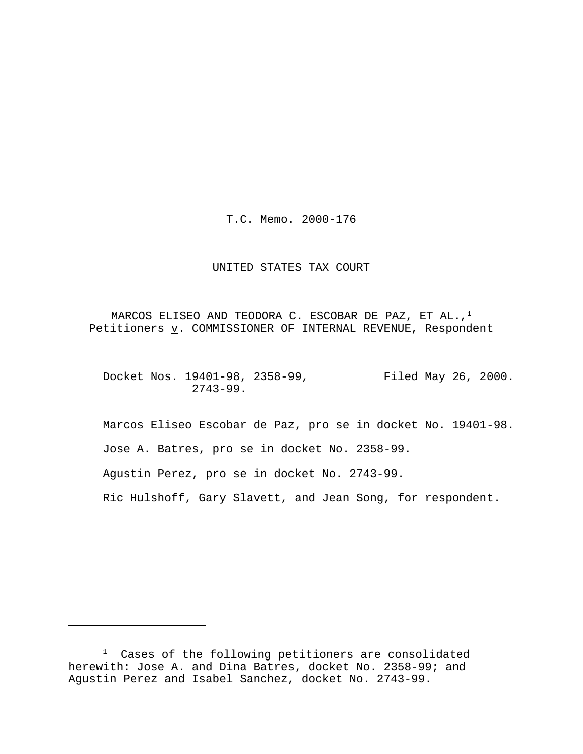T.C. Memo. 2000-176

## UNITED STATES TAX COURT

MARCOS ELISEO AND TEODORA C. ESCOBAR DE PAZ, ET AL.,<sup>1</sup> Petitioners  $\underline{v}$ . COMMISSIONER OF INTERNAL REVENUE, Respondent

Docket Nos. 19401-98, 2358-99, Filed May 26, 2000. 2743-99.

Marcos Eliseo Escobar de Paz, pro se in docket No. 19401-98. Jose A. Batres, pro se in docket No. 2358-99. Agustin Perez, pro se in docket No. 2743-99.

Ric Hulshoff, Gary Slavett, and Jean Song, for respondent.

<sup>1</sup> Cases of the following petitioners are consolidated herewith: Jose A. and Dina Batres, docket No. 2358-99; and Agustin Perez and Isabel Sanchez, docket No. 2743-99.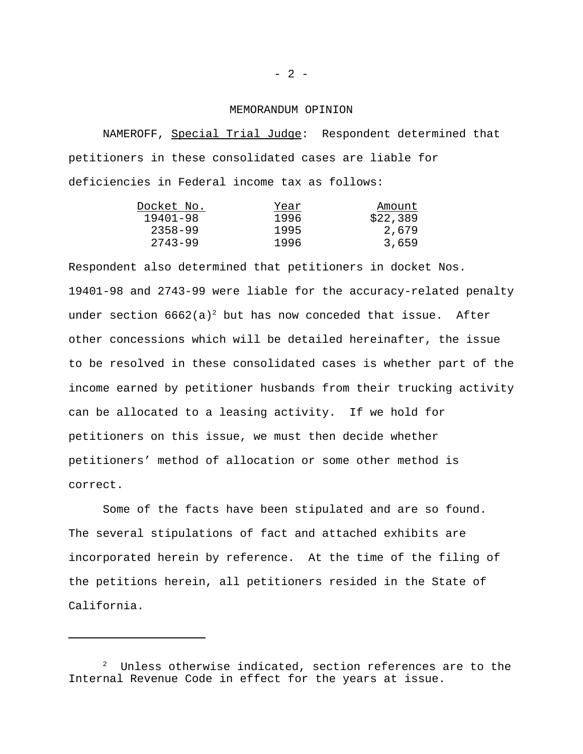## MEMORANDUM OPINION

NAMEROFF, Special Trial Judge: Respondent determined that petitioners in these consolidated cases are liable for deficiencies in Federal income tax as follows:

| Docket No.  | Year | Amount   |
|-------------|------|----------|
| 19401-98    | 1996 | \$22,389 |
| $2358 - 99$ | 1995 | 2,679    |
| 2743-99     | 1996 | 3,659    |

Respondent also determined that petitioners in docket Nos. 19401-98 and 2743-99 were liable for the accuracy-related penalty under section  $6662(a)^2$  but has now conceded that issue. After other concessions which will be detailed hereinafter, the issue to be resolved in these consolidated cases is whether part of the income earned by petitioner husbands from their trucking activity can be allocated to a leasing activity. If we hold for petitioners on this issue, we must then decide whether petitioners' method of allocation or some other method is correct.

Some of the facts have been stipulated and are so found. The several stipulations of fact and attached exhibits are incorporated herein by reference. At the time of the filing of the petitions herein, all petitioners resided in the State of California.

 $2$  Unless otherwise indicated, section references are to the Internal Revenue Code in effect for the years at issue.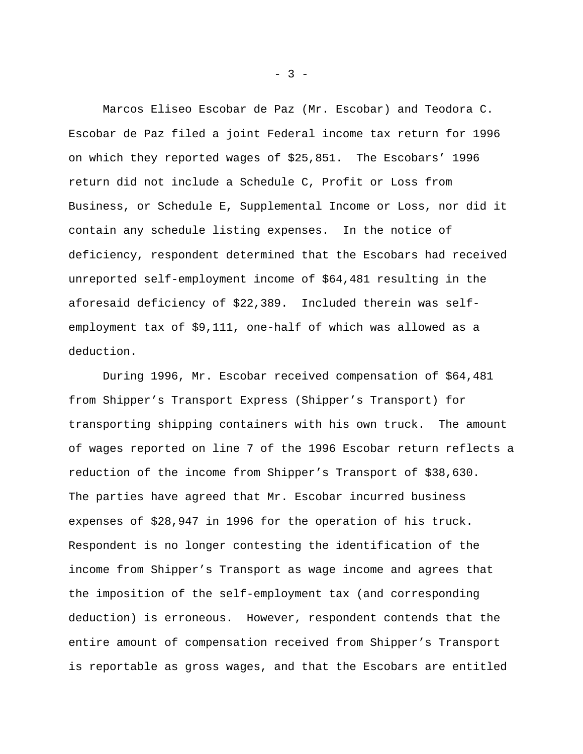Marcos Eliseo Escobar de Paz (Mr. Escobar) and Teodora C. Escobar de Paz filed a joint Federal income tax return for 1996 on which they reported wages of \$25,851. The Escobars' 1996 return did not include a Schedule C, Profit or Loss from Business, or Schedule E, Supplemental Income or Loss, nor did it contain any schedule listing expenses. In the notice of deficiency, respondent determined that the Escobars had received unreported self-employment income of \$64,481 resulting in the aforesaid deficiency of \$22,389. Included therein was selfemployment tax of \$9,111, one-half of which was allowed as a deduction.

During 1996, Mr. Escobar received compensation of \$64,481 from Shipper's Transport Express (Shipper's Transport) for transporting shipping containers with his own truck. The amount of wages reported on line 7 of the 1996 Escobar return reflects a reduction of the income from Shipper's Transport of \$38,630. The parties have agreed that Mr. Escobar incurred business expenses of \$28,947 in 1996 for the operation of his truck. Respondent is no longer contesting the identification of the income from Shipper's Transport as wage income and agrees that the imposition of the self-employment tax (and corresponding deduction) is erroneous. However, respondent contends that the entire amount of compensation received from Shipper's Transport is reportable as gross wages, and that the Escobars are entitled

 $- 3 -$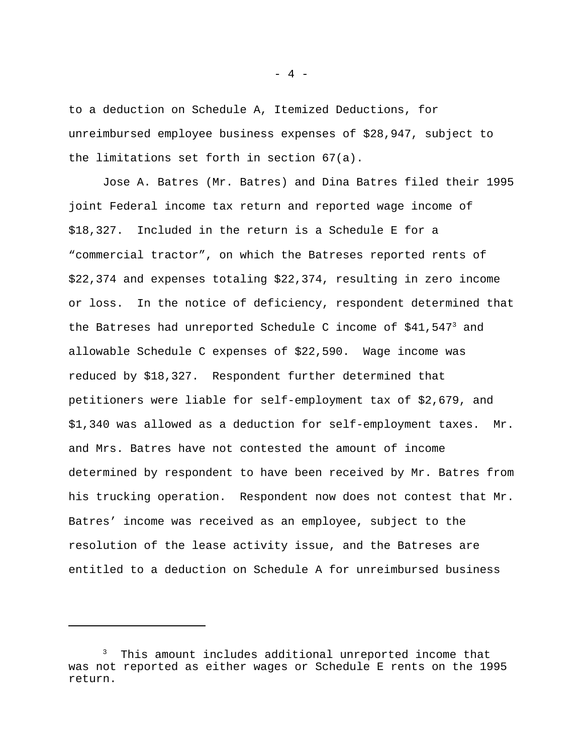to a deduction on Schedule A, Itemized Deductions, for unreimbursed employee business expenses of \$28,947, subject to the limitations set forth in section 67(a).

Jose A. Batres (Mr. Batres) and Dina Batres filed their 1995 joint Federal income tax return and reported wage income of \$18,327. Included in the return is a Schedule E for a "commercial tractor", on which the Batreses reported rents of \$22,374 and expenses totaling \$22,374, resulting in zero income or loss. In the notice of deficiency, respondent determined that the Batreses had unreported Schedule C income of  $$41,547^3$  and allowable Schedule C expenses of \$22,590. Wage income was reduced by \$18,327. Respondent further determined that petitioners were liable for self-employment tax of \$2,679, and \$1,340 was allowed as a deduction for self-employment taxes. Mr. and Mrs. Batres have not contested the amount of income determined by respondent to have been received by Mr. Batres from his trucking operation. Respondent now does not contest that Mr. Batres' income was received as an employee, subject to the resolution of the lease activity issue, and the Batreses are entitled to a deduction on Schedule A for unreimbursed business

This amount includes additional unreported income that was not reported as either wages or Schedule E rents on the 1995 return.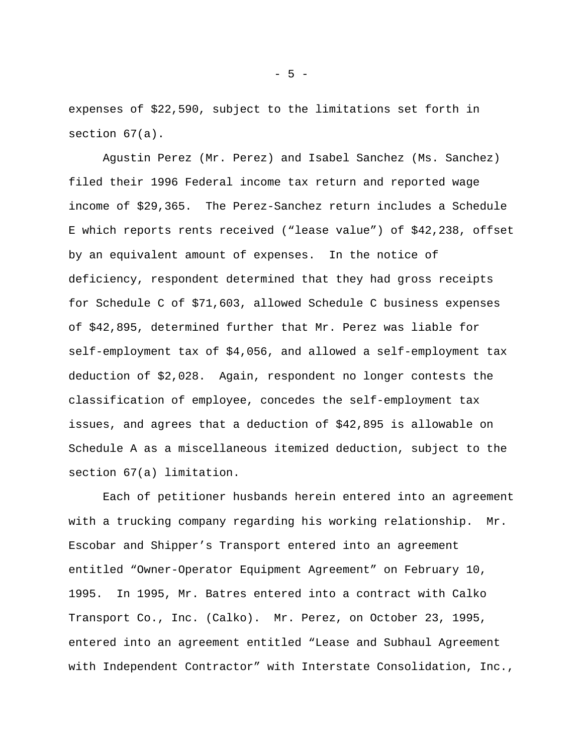expenses of \$22,590, subject to the limitations set forth in section 67(a).

Agustin Perez (Mr. Perez) and Isabel Sanchez (Ms. Sanchez) filed their 1996 Federal income tax return and reported wage income of \$29,365. The Perez-Sanchez return includes a Schedule E which reports rents received ("lease value") of \$42,238, offset by an equivalent amount of expenses. In the notice of deficiency, respondent determined that they had gross receipts for Schedule C of \$71,603, allowed Schedule C business expenses of \$42,895, determined further that Mr. Perez was liable for self-employment tax of \$4,056, and allowed a self-employment tax deduction of \$2,028. Again, respondent no longer contests the classification of employee, concedes the self-employment tax issues, and agrees that a deduction of \$42,895 is allowable on Schedule A as a miscellaneous itemized deduction, subject to the section 67(a) limitation.

Each of petitioner husbands herein entered into an agreement with a trucking company regarding his working relationship. Mr. Escobar and Shipper's Transport entered into an agreement entitled "Owner-Operator Equipment Agreement" on February 10, 1995. In 1995, Mr. Batres entered into a contract with Calko Transport Co., Inc. (Calko). Mr. Perez, on October 23, 1995, entered into an agreement entitled "Lease and Subhaul Agreement with Independent Contractor" with Interstate Consolidation, Inc.,

- 5 -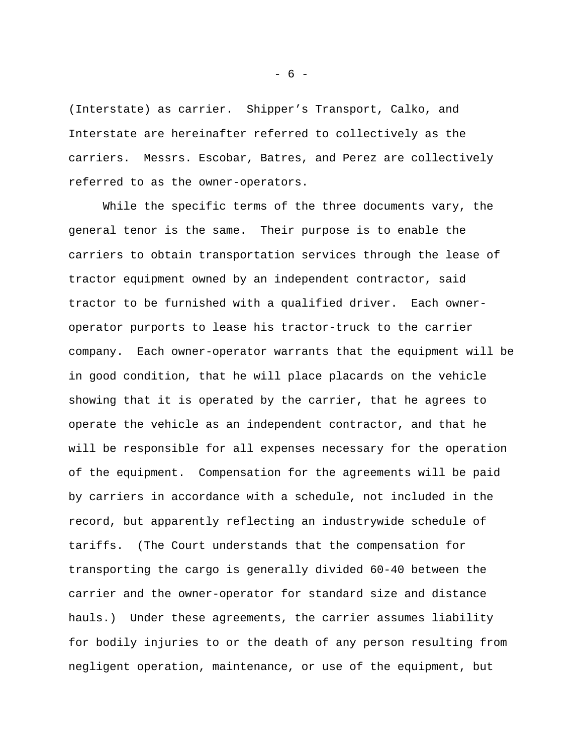(Interstate) as carrier. Shipper's Transport, Calko, and Interstate are hereinafter referred to collectively as the carriers. Messrs. Escobar, Batres, and Perez are collectively referred to as the owner-operators.

While the specific terms of the three documents vary, the general tenor is the same. Their purpose is to enable the carriers to obtain transportation services through the lease of tractor equipment owned by an independent contractor, said tractor to be furnished with a qualified driver. Each owneroperator purports to lease his tractor-truck to the carrier company. Each owner-operator warrants that the equipment will be in good condition, that he will place placards on the vehicle showing that it is operated by the carrier, that he agrees to operate the vehicle as an independent contractor, and that he will be responsible for all expenses necessary for the operation of the equipment. Compensation for the agreements will be paid by carriers in accordance with a schedule, not included in the record, but apparently reflecting an industrywide schedule of tariffs. (The Court understands that the compensation for transporting the cargo is generally divided 60-40 between the carrier and the owner-operator for standard size and distance hauls.) Under these agreements, the carrier assumes liability for bodily injuries to or the death of any person resulting from negligent operation, maintenance, or use of the equipment, but

- 6 -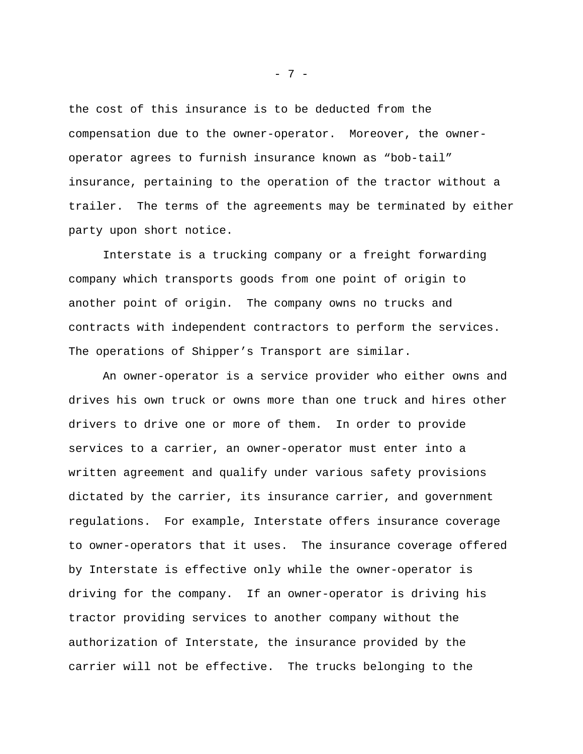the cost of this insurance is to be deducted from the compensation due to the owner-operator. Moreover, the owneroperator agrees to furnish insurance known as "bob-tail" insurance, pertaining to the operation of the tractor without a trailer. The terms of the agreements may be terminated by either party upon short notice.

Interstate is a trucking company or a freight forwarding company which transports goods from one point of origin to another point of origin. The company owns no trucks and contracts with independent contractors to perform the services. The operations of Shipper's Transport are similar.

An owner-operator is a service provider who either owns and drives his own truck or owns more than one truck and hires other drivers to drive one or more of them. In order to provide services to a carrier, an owner-operator must enter into a written agreement and qualify under various safety provisions dictated by the carrier, its insurance carrier, and government regulations. For example, Interstate offers insurance coverage to owner-operators that it uses. The insurance coverage offered by Interstate is effective only while the owner-operator is driving for the company. If an owner-operator is driving his tractor providing services to another company without the authorization of Interstate, the insurance provided by the carrier will not be effective. The trucks belonging to the

- 7 -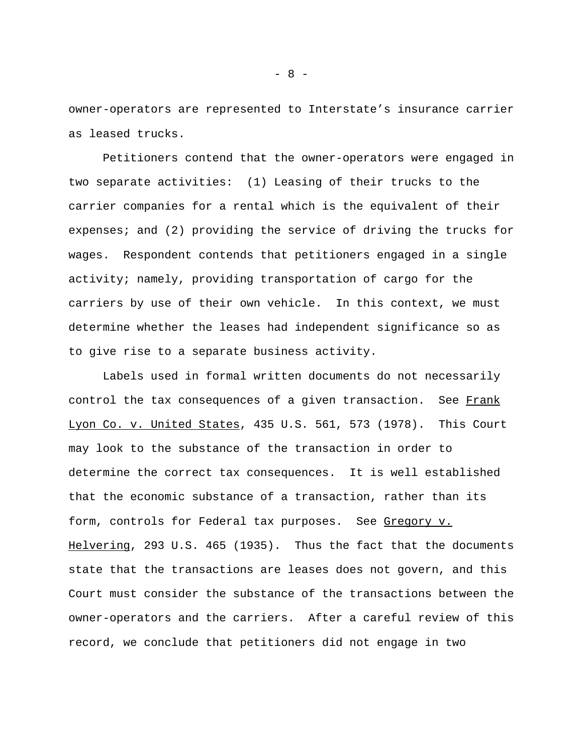owner-operators are represented to Interstate's insurance carrier as leased trucks.

Petitioners contend that the owner-operators were engaged in two separate activities: (1) Leasing of their trucks to the carrier companies for a rental which is the equivalent of their expenses; and (2) providing the service of driving the trucks for wages. Respondent contends that petitioners engaged in a single activity; namely, providing transportation of cargo for the carriers by use of their own vehicle. In this context, we must determine whether the leases had independent significance so as to give rise to a separate business activity.

Labels used in formal written documents do not necessarily control the tax consequences of a given transaction. See Frank Lyon Co. v. United States, 435 U.S. 561, 573 (1978). This Court may look to the substance of the transaction in order to determine the correct tax consequences. It is well established that the economic substance of a transaction, rather than its form, controls for Federal tax purposes. See Gregory v. Helvering, 293 U.S. 465 (1935). Thus the fact that the documents state that the transactions are leases does not govern, and this Court must consider the substance of the transactions between the owner-operators and the carriers. After a careful review of this record, we conclude that petitioners did not engage in two

- 8 -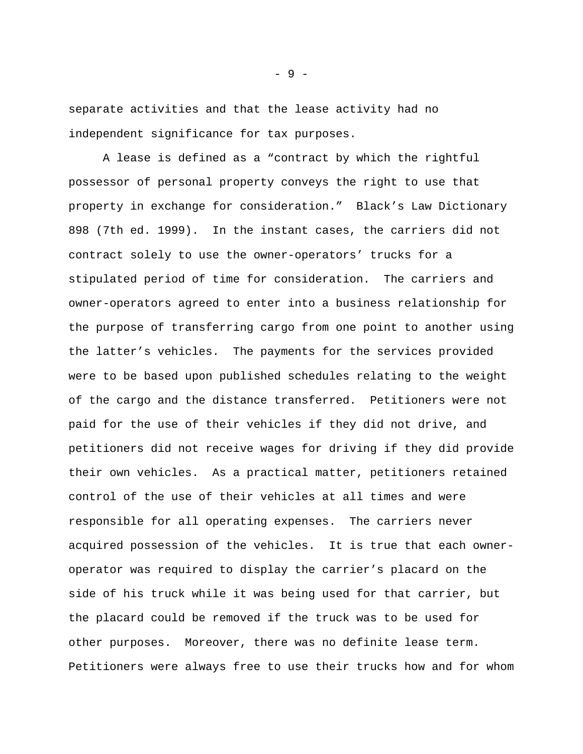separate activities and that the lease activity had no independent significance for tax purposes.

A lease is defined as a "contract by which the rightful possessor of personal property conveys the right to use that property in exchange for consideration." Black's Law Dictionary 898 (7th ed. 1999). In the instant cases, the carriers did not contract solely to use the owner-operators' trucks for a stipulated period of time for consideration. The carriers and owner-operators agreed to enter into a business relationship for the purpose of transferring cargo from one point to another using the latter's vehicles. The payments for the services provided were to be based upon published schedules relating to the weight of the cargo and the distance transferred. Petitioners were not paid for the use of their vehicles if they did not drive, and petitioners did not receive wages for driving if they did provide their own vehicles. As a practical matter, petitioners retained control of the use of their vehicles at all times and were responsible for all operating expenses. The carriers never acquired possession of the vehicles. It is true that each owneroperator was required to display the carrier's placard on the side of his truck while it was being used for that carrier, but the placard could be removed if the truck was to be used for other purposes. Moreover, there was no definite lease term. Petitioners were always free to use their trucks how and for whom

- 9 -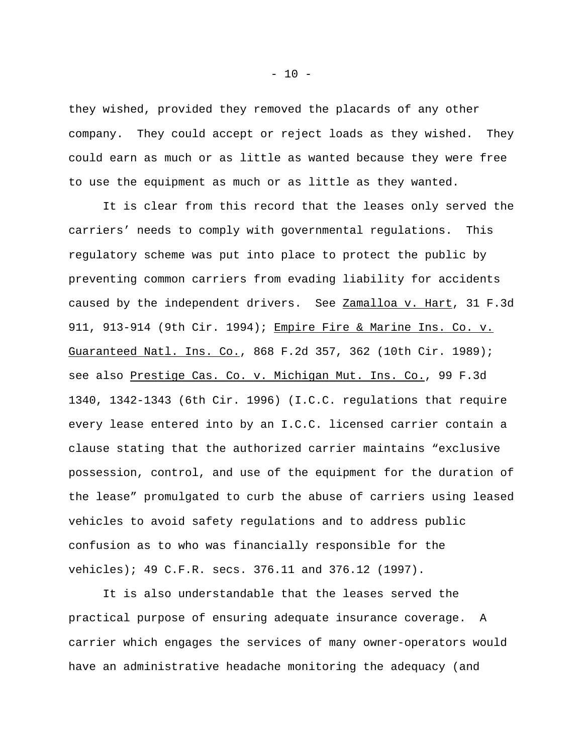they wished, provided they removed the placards of any other company. They could accept or reject loads as they wished. They could earn as much or as little as wanted because they were free to use the equipment as much or as little as they wanted.

It is clear from this record that the leases only served the carriers' needs to comply with governmental regulations. This regulatory scheme was put into place to protect the public by preventing common carriers from evading liability for accidents caused by the independent drivers. See Zamalloa v. Hart, 31 F.3d 911, 913-914 (9th Cir. 1994); Empire Fire & Marine Ins. Co. v. Guaranteed Natl. Ins. Co., 868 F.2d 357, 362 (10th Cir. 1989); see also Prestige Cas. Co. v. Michigan Mut. Ins. Co., 99 F.3d 1340, 1342-1343 (6th Cir. 1996) (I.C.C. regulations that require every lease entered into by an I.C.C. licensed carrier contain a clause stating that the authorized carrier maintains "exclusive possession, control, and use of the equipment for the duration of the lease" promulgated to curb the abuse of carriers using leased vehicles to avoid safety regulations and to address public confusion as to who was financially responsible for the vehicles); 49 C.F.R. secs. 376.11 and 376.12 (1997).

It is also understandable that the leases served the practical purpose of ensuring adequate insurance coverage. A carrier which engages the services of many owner-operators would have an administrative headache monitoring the adequacy (and